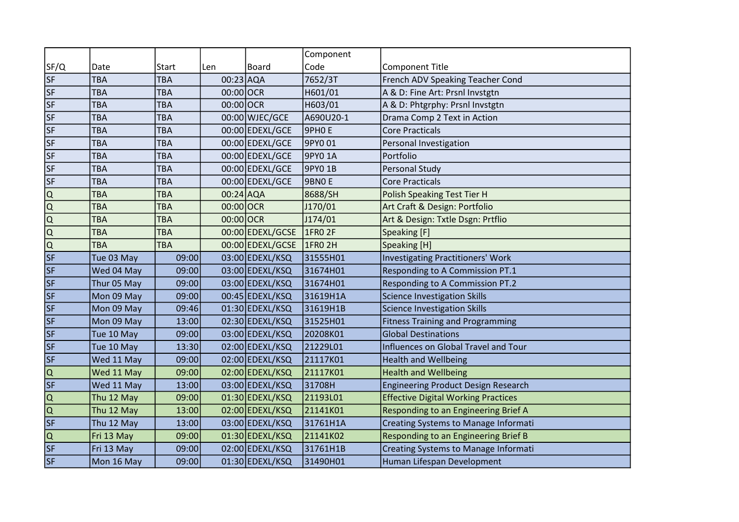|                          |             |              |           |                  | Component      |                                             |
|--------------------------|-------------|--------------|-----------|------------------|----------------|---------------------------------------------|
| SF/Q                     | Date        | <b>Start</b> | Len       | <b>Board</b>     | Code           | Component Title                             |
| <b>SF</b>                | <b>TBA</b>  | <b>TBA</b>   | 00:23 AQA |                  | 7652/3T        | French ADV Speaking Teacher Cond            |
| $\overline{\mathsf{SF}}$ | <b>TBA</b>  | TBA          | 00:00 OCR |                  | H601/01        | A & D: Fine Art: Prsnl Invstgtn             |
| <b>SF</b>                | <b>TBA</b>  | <b>TBA</b>   | 00:00 OCR |                  | H603/01        | A & D: Phtgrphy: Prsnl Invstgtn             |
| <b>SF</b>                | <b>TBA</b>  | <b>TBA</b>   |           | 00:00 WJEC/GCE   | A690U20-1      | Drama Comp 2 Text in Action                 |
| <b>SF</b>                | <b>TBA</b>  | TBA          |           | 00:00 EDEXL/GCE  | 9РНОЕ          | <b>Core Practicals</b>                      |
| <b>SF</b>                | <b>TBA</b>  | TBA          |           | 00:00 EDEXL/GCE  | 9PY0 01        | Personal Investigation                      |
| <b>SF</b>                | <b>TBA</b>  | <b>TBA</b>   |           | 00:00 EDEXL/GCE  | 9PY0 1A        | Portfolio                                   |
| <b>SF</b>                | <b>TBA</b>  | <b>TBA</b>   |           | 00:00 EDEXL/GCE  | 9PY0 1B        | Personal Study                              |
| <b>SF</b>                | <b>TBA</b>  | TBA          |           | 00:00 EDEXL/GCE  | <b>9BNOE</b>   | <b>Core Practicals</b>                      |
| Q                        | TBA         | <b>TBA</b>   | 00:24 AQA |                  | 8688/SH        | Polish Speaking Test Tier H                 |
| lQ                       | <b>TBA</b>  | <b>TBA</b>   | 00:00 OCR |                  | J170/01        | Art Craft & Design: Portfolio               |
| lQ                       | TBA         | TBA          | 00:00 OCR |                  | J174/01        | Art & Design: Txtle Dsgn: Prtflio           |
| Q                        | <b>TBA</b>  | <b>TBA</b>   |           | 00:00 EDEXL/GCSE | <b>1FRO 2F</b> | Speaking [F]                                |
| Q                        | <b>TBA</b>  | <b>TBA</b>   |           | 00:00 EDEXL/GCSE | 1FR0 2H        | Speaking [H]                                |
| <b>SF</b>                | Tue 03 May  | 09:00        |           | 03:00 EDEXL/KSQ  | 31555H01       | Investigating Practitioners' Work           |
| <b>SF</b>                | Wed 04 May  | 09:00        |           | 03:00 EDEXL/KSQ  | 31674H01       | <b>Responding to A Commission PT.1</b>      |
| <b>SF</b>                | Thur 05 May | 09:00        |           | 03:00 EDEXL/KSQ  | 31674H01       | Responding to A Commission PT.2             |
| <b>SF</b>                | Mon 09 May  | 09:00        |           | 00:45 EDEXL/KSQ  | 31619H1A       | <b>Science Investigation Skills</b>         |
| <b>SF</b>                | Mon 09 May  | 09:46        |           | 01:30 EDEXL/KSQ  | 31619H1B       | Science Investigation Skills                |
| <b>SF</b>                | Mon 09 May  | 13:00        |           | 02:30 EDEXL/KSQ  | 31525H01       | <b>Fitness Training and Programming</b>     |
| <b>SF</b>                | Tue 10 May  | 09:00        |           | 03:00 EDEXL/KSQ  | 20208K01       | <b>Global Destinations</b>                  |
| <b>SF</b>                | Tue 10 May  | 13:30        |           | 02:00 EDEXL/KSQ  | 21229L01       | Influences on Global Travel and Tour        |
| <b>SF</b>                | Wed 11 May  | 09:00        |           | 02:00 EDEXL/KSQ  | 21117K01       | <b>Health and Wellbeing</b>                 |
| Q                        | Wed 11 May  | 09:00        |           | 02:00 EDEXL/KSQ  | 21117K01       | <b>Health and Wellbeing</b>                 |
| <b>SF</b>                | Wed 11 May  | 13:00        |           | 03:00 EDEXL/KSQ  | 31708H         | Engineering Product Design Research         |
| Q                        | Thu 12 May  | 09:00        |           | 01:30 EDEXL/KSQ  | 21193L01       | <b>Effective Digital Working Practices</b>  |
| Q                        | Thu 12 May  | 13:00        |           | 02:00 EDEXL/KSQ  | 21141K01       | Responding to an Engineering Brief A        |
| $\overline{\mathsf{SF}}$ | Thu 12 May  | 13:00        |           | 03:00 EDEXL/KSQ  | 31761H1A       | Creating Systems to Manage Informati        |
| lQ                       | Fri 13 May  | 09:00        |           | 01:30 EDEXL/KSQ  | 21141K02       | <b>Responding to an Engineering Brief B</b> |
| <b>SF</b>                | Fri 13 May  | 09:00        |           | 02:00 EDEXL/KSQ  | 31761H1B       | Creating Systems to Manage Informati        |
| <b>SF</b>                | Mon 16 May  | 09:00        |           | 01:30 EDEXL/KSQ  | 31490H01       | Human Lifespan Development                  |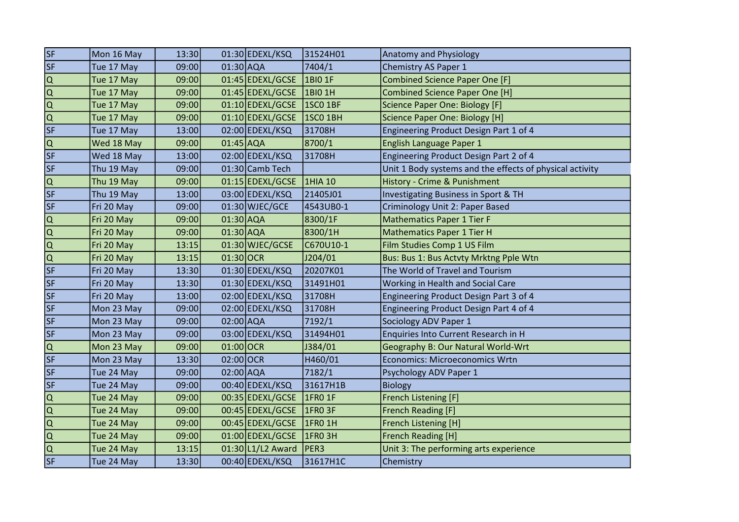| SF                                   | Mon 16 May | 13:30 |               | 01:30 EDEXL/KSQ   | 31524H01         | Anatomy and Physiology                                   |
|--------------------------------------|------------|-------|---------------|-------------------|------------------|----------------------------------------------------------|
| SF                                   | Tue 17 May | 09:00 | $01:30$ AQA   |                   | 7404/1           | Chemistry AS Paper 1                                     |
| $\overline{Q}$                       | Tue 17 May | 09:00 |               | 01:45 EDEXL/GCSE  | <b>1BIO 1F</b>   | <b>Combined Science Paper One [F]</b>                    |
| $\overline{Q}$                       | Tue 17 May | 09:00 |               | 01:45 EDEXL/GCSE  | 1BIO 1H          | <b>Combined Science Paper One [H]</b>                    |
| $\overline{ \overline{Q} }$          | Tue 17 May | 09:00 |               | 01:10 EDEXL/GCSE  | <b>1SCO 1BF</b>  | Science Paper One: Biology [F]                           |
|                                      | Tue 17 May | 09:00 |               | 01:10 EDEXL/GCSE  | <b>1SCO 1BH</b>  | Science Paper One: Biology [H]                           |
| $\overline{\mathsf{SF}}$             | Tue 17 May | 13:00 |               | 02:00 EDEXL/KSQ   | 31708H           | Engineering Product Design Part 1 of 4                   |
| $\frac{\overline{Q}}{\overline{SF}}$ | Wed 18 May | 09:00 | $01:45$ AQA   |                   | 8700/1           | English Language Paper 1                                 |
|                                      | Wed 18 May | 13:00 |               | 02:00 EDEXL/KSQ   | 31708H           | Engineering Product Design Part 2 of 4                   |
| $\overline{\mathsf{SF}}$             | Thu 19 May | 09:00 |               | 01:30 Camb Tech   |                  | Unit 1 Body systems and the effects of physical activity |
|                                      | Thu 19 May | 09:00 |               | 01:15 EDEXL/GCSE  | 1HIA 10          | History - Crime & Punishment                             |
| $rac{Q}{SF}$                         | Thu 19 May | 13:00 |               | 03:00 EDEXL/KSQ   | 21405J01         | Investigating Business in Sport & TH                     |
| SF                                   | Fri 20 May | 09:00 |               | 01:30 WJEC/GCE    | 4543UB0-1        | Criminology Unit 2: Paper Based                          |
| $\overline{Q}$                       | Fri 20 May | 09:00 | $01:30$ AQA   |                   | 8300/1F          | <b>Mathematics Paper 1 Tier F</b>                        |
|                                      | Fri 20 May | 09:00 | $01:30$ AQA   |                   | 8300/1H          | <b>Mathematics Paper 1 Tier H</b>                        |
| $\overline{ \alpha }$                | Fri 20 May | 13:15 |               | 01:30 WJEC/GCSE   | C670U10-1        | Film Studies Comp 1 US Film                              |
| $\overline{\mathsf{Q}}$              | Fri 20 May | 13:15 | 01:30 OCR     |                   | J204/01          | Bus: Bus 1: Bus Actvty Mrktng Pple Wtn                   |
| $\overline{\mathsf{SF}}$             | Fri 20 May | 13:30 |               | 01:30 EDEXL/KSQ   | 20207K01         | The World of Travel and Tourism                          |
| $\overline{\mathsf{SF}}$             | Fri 20 May | 13:30 |               | 01:30 EDEXL/KSQ   | 31491H01         | Working in Health and Social Care                        |
| $\overline{\mathsf{SF}}$             | Fri 20 May | 13:00 |               | 02:00 EDEXL/KSQ   | 31708H           | Engineering Product Design Part 3 of 4                   |
| $\overline{\mathsf{SF}}$             | Mon 23 May | 09:00 |               | 02:00 EDEXL/KSQ   | 31708H           | Engineering Product Design Part 4 of 4                   |
| SF                                   | Mon 23 May | 09:00 | $02:00$ $AQA$ |                   | 7192/1           | Sociology ADV Paper 1                                    |
| <b>SF</b>                            | Mon 23 May | 09:00 |               | 03:00 EDEXL/KSQ   | 31494H01         | Enquiries Into Current Research in H                     |
| $\overline{Q}$                       | Mon 23 May | 09:00 | $01:00$ OCR   |                   | J384/01          | Geography B: Our Natural World-Wrt                       |
| $\overline{\mathsf{SF}}$             | Mon 23 May | 13:30 | $02:00$ OCR   |                   | H460/01          | Economics: Microeconomics Wrtn                           |
| SF                                   | Tue 24 May | 09:00 | $02:00$ AQA   |                   | 7182/1           | Psychology ADV Paper 1                                   |
| $\overline{\mathsf{SF}}$             | Tue 24 May | 09:00 |               | 00:40 EDEXL/KSQ   | 31617H1B         | <b>Biology</b>                                           |
| $\overline{Q}$                       | Tue 24 May | 09:00 |               | 00:35 EDEXL/GCSE  | 1FR0 1F          | French Listening [F]                                     |
|                                      | Tue 24 May | 09:00 |               | 00:45 EDEXL/GCSE  | $\vert$ 1FRO 3F  | French Reading [F]                                       |
| $\frac{1}{\alpha}$                   | Tue 24 May | 09:00 |               | 00:45 EDEXL/GCSE  | <b>1FRO 1H</b>   | French Listening [H]                                     |
|                                      | Tue 24 May | 09:00 |               | 01:00 EDEXL/GCSE  | <b>1FRO 3H</b>   | French Reading [H]                                       |
|                                      | Tue 24 May | 13:15 |               | 01:30 L1/L2 Award | PER <sub>3</sub> | Unit 3: The performing arts experience                   |
| $\overline{\mathsf{SF}}$             | Tue 24 May | 13:30 |               | 00:40 EDEXL/KSQ   | 31617H1C         | Chemistry                                                |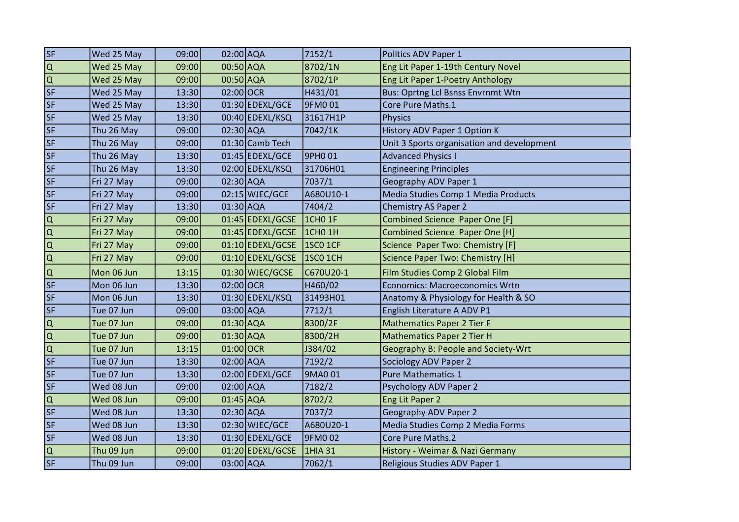| SF                          | Wed 25 May | 09:00 | 02:00 AQA     |                  | 7152/1          | Politics ADV Paper 1                       |
|-----------------------------|------------|-------|---------------|------------------|-----------------|--------------------------------------------|
| $\overline{Q}$              | Wed 25 May | 09:00 | 00:50 AQA     |                  | 8702/1N         | Eng Lit Paper 1-19th Century Novel         |
| <b>O</b>                    | Wed 25 May | 09:00 | 00:50 AQA     |                  | 8702/1P         | Eng Lit Paper 1-Poetry Anthology           |
| $\overline{\mathsf{SF}}$    | Wed 25 May | 13:30 | 02:00 OCR     |                  | H431/01         | Bus: Oprtng Lcl Bsnss Envrnmt Wtn          |
| SF                          | Wed 25 May | 13:30 |               | 01:30 EDEXL/GCE  | 9FM0 01         | Core Pure Maths.1                          |
| SF                          | Wed 25 May | 13:30 |               | 00:40 EDEXL/KSQ  | 31617H1P        | Physics                                    |
| SF                          | Thu 26 May | 09:00 | 02:30 AQA     |                  | 7042/1K         | History ADV Paper 1 Option K               |
| $\overline{\mathsf{SF}}$    | Thu 26 May | 09:00 |               | 01:30 Camb Tech  |                 | Unit 3 Sports organisation and development |
| SF                          | Thu 26 May | 13:30 |               | 01:45 EDEXL/GCE  | 9PHO 01         | <b>Advanced Physics I</b>                  |
| $\overline{\mathsf{SF}}$    | Thu 26 May | 13:30 |               | 02:00 EDEXL/KSQ  | 31706H01        | <b>Engineering Principles</b>              |
| SF                          | Fri 27 May | 09:00 | 02:30 AQA     |                  | 7037/1          | Geography ADV Paper 1                      |
| SF                          | Fri 27 May | 09:00 |               | $02:15$ WJEC/GCE | A680U10-1       | Media Studies Comp 1 Media Products        |
| SF                          | Fri 27 May | 13:30 | $01:30$ AQA   |                  | 7404/2          | Chemistry AS Paper 2                       |
| $\overline{\mathsf{Q}}$     | Fri 27 May | 09:00 |               | 01:45 EDEXL/GCSE | <b>1CHO 1F</b>  | Combined Science Paper One [F]             |
|                             | Fri 27 May | 09:00 |               | 01:45 EDEXL/GCSE | $ICHO$ 1H       | Combined Science Paper One [H]             |
|                             | Fri 27 May | 09:00 |               | 01:10 EDEXL/GCSE | <b>1SCO 1CF</b> | Science Paper Two: Chemistry [F]           |
| $\frac{1}{\sqrt{2}}$        | Fri 27 May | 09:00 |               | 01:10 EDEXL/GCSE | 1SC0 1CH        | Science Paper Two: Chemistry [H]           |
| Q                           | Mon 06 Jun | 13:15 |               | 01:30 WJEC/GCSE  | C670U20-1       | Film Studies Comp 2 Global Film            |
| $\overline{\mathsf{SF}}$    | Mon 06 Jun | 13:30 | 02:00 OCR     |                  | H460/02         | <b>Economics: Macroeconomics Wrtn</b>      |
| SF                          | Mon 06 Jun | 13:30 |               | 01:30 EDEXL/KSQ  | 31493H01        | Anatomy & Physiology for Health & SO       |
| SF                          | Tue 07 Jun | 09:00 | 03:00 AQA     |                  | 7712/1          | English Literature A ADV P1                |
| $\overline{Q}$              | Tue 07 Jun | 09:00 | $01:30$ AQA   |                  | 8300/2F         | <b>Mathematics Paper 2 Tier F</b>          |
| $\overline{ \overline{Q} }$ | Tue 07 Jun | 09:00 | $01:30$ AQA   |                  | 8300/2H         | <b>Mathematics Paper 2 Tier H</b>          |
|                             | Tue 07 Jun | 13:15 | $01:00$ OCR   |                  | J384/02         | Geography B: People and Society-Wrt        |
| $\overline{\mathsf{SF}}$    | Tue 07 Jun | 13:30 | $02:00$ $AQA$ |                  | 7192/2          | Sociology ADV Paper 2                      |
| $\overline{\mathsf{SF}}$    | Tue 07 Jun | 13:30 |               | 02:00 EDEXL/GCE  | 9MA0 01         | <b>Pure Mathematics 1</b>                  |
| SF                          | Wed 08 Jun | 09:00 | 02:00 AQA     |                  | 7182/2          | Psychology ADV Paper 2                     |
| $\overline{\Omega}$         | Wed 08 Jun | 09:00 | $01:45$ AQA   |                  | 8702/2          | Eng Lit Paper 2                            |
| $\overline{\mathsf{SF}}$    | Wed 08 Jun | 13:30 | $02:30$ AQA   |                  | 7037/2          | <b>Geography ADV Paper 2</b>               |
| SF                          | Wed 08 Jun | 13:30 |               | 02:30 WJEC/GCE   | A680U20-1       | Media Studies Comp 2 Media Forms           |
| SF                          | Wed 08 Jun | 13:30 |               | 01:30 EDEXL/GCE  | 9FM0 02         | Core Pure Maths.2                          |
| $\overline{Q}$              | Thu 09 Jun | 09:00 |               | 01:20 EDEXL/GCSE | 1HIA 31         | History - Weimar & Nazi Germany            |
| $\overline{\mathsf{SF}}$    | Thu 09 Jun | 09:00 | 03:00 AQA     |                  | 7062/1          | Religious Studies ADV Paper 1              |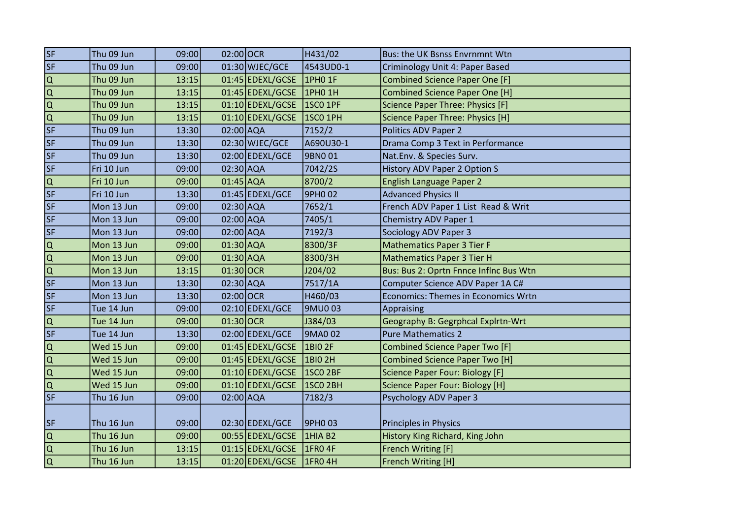| SF                                  | Thu 09 Jun | 09:00 | 02:00 OCR     |                  | H431/02                 | Bus: the UK Bsnss Envrnmnt Wtn             |
|-------------------------------------|------------|-------|---------------|------------------|-------------------------|--------------------------------------------|
| SF                                  | Thu 09 Jun | 09:00 |               | 01:30 WJEC/GCE   | 4543UD0-1               | Criminology Unit 4: Paper Based            |
|                                     | Thu 09 Jun | 13:15 |               | 01:45 EDEXL/GCSE | 1PH0 1F                 | <b>Combined Science Paper One [F]</b>      |
| $\frac{\overline{a}}{\overline{b}}$ | Thu 09 Jun | 13:15 |               | 01:45 EDEXL/GCSE | 1PH <sub>0</sub> 1H     | <b>Combined Science Paper One [H]</b>      |
|                                     | Thu 09 Jun | 13:15 |               | 01:10 EDEXL/GCSE | <b>1SCO 1PF</b>         | Science Paper Three: Physics [F]           |
|                                     | Thu 09 Jun | 13:15 |               | 01:10 EDEXL/GCSE | 1SCO 1PH                | Science Paper Three: Physics [H]           |
| $\overline{\mathsf{SF}}$            | Thu 09 Jun | 13:30 | $02:00$ $AQA$ |                  | 7152/2                  | Politics ADV Paper 2                       |
| $\overline{\mathsf{SF}}$            | Thu 09 Jun | 13:30 |               | 02:30 WJEC/GCE   | A690U30-1               | Drama Comp 3 Text in Performance           |
| $\overline{\mathsf{SF}}$            | Thu 09 Jun | 13:30 |               | 02:00 EDEXL/GCE  | 9BN001                  | Nat.Env. & Species Surv.                   |
| $\overline{\mathsf{SF}}$            | Fri 10 Jun | 09:00 | 02:30 AQA     |                  | 7042/2S                 | History ADV Paper 2 Option S               |
| $\frac{Q}{SF}$                      | Fri 10 Jun | 09:00 | $01:45$ AQA   |                  | 8700/2                  | English Language Paper 2                   |
|                                     | Fri 10 Jun | 13:30 |               | 01:45 EDEXL/GCE  | 9PH <sub>0</sub> 02     | <b>Advanced Physics II</b>                 |
| SF                                  | Mon 13 Jun | 09:00 | 02:30 AQA     |                  | 7652/1                  | French ADV Paper 1 List Read & Writ        |
| SF                                  | Mon 13 Jun | 09:00 | $02:00$ $AQA$ |                  | 7405/1                  | Chemistry ADV Paper 1                      |
| $\overline{\mathsf{SF}}$            | Mon 13 Jun | 09:00 | 02:00 AQA     |                  | 7192/3                  | Sociology ADV Paper 3                      |
| $\frac{\overline{a}}{\overline{b}}$ | Mon 13 Jun | 09:00 | $01:30$ AQA   |                  | 8300/3F                 | <b>Mathematics Paper 3 Tier F</b>          |
|                                     | Mon 13 Jun | 09:00 | $01:30$ AQA   |                  | 8300/3H                 | <b>Mathematics Paper 3 Tier H</b>          |
| $\overline{Q}$                      | Mon 13 Jun | 13:15 | $01:30$ OCR   |                  | J204/02                 | Bus: Bus 2: Oprtn Fnnce Inflnc Bus Wtn     |
| $\overline{\mathsf{SF}}$            | Mon 13 Jun | 13:30 | 02:30 AQA     |                  | 7517/1A                 | Computer Science ADV Paper 1A C#           |
| SF                                  | Mon 13 Jun | 13:30 | 02:00 OCR     |                  | H460/03                 | <b>Economics: Themes in Economics Wrtn</b> |
| SF                                  | Tue 14 Jun | 09:00 |               | 02:10 EDEXL/GCE  | 9MU003                  | Appraising                                 |
|                                     | Tue 14 Jun | 09:00 | 01:30 OCR     |                  | J384/03                 | Geography B: Gegrphcal Explrtn-Wrt         |
| $rac{Q}{SF}$                        | Tue 14 Jun | 13:30 |               | 02:00 EDEXL/GCE  | 9MA0 02                 | <b>Pure Mathematics 2</b>                  |
| $\frac{1}{\alpha}$                  | Wed 15 Jun | 09:00 |               | 01:45 EDEXL/GCSE | 1BIO 2F                 | <b>Combined Science Paper Two [F]</b>      |
|                                     | Wed 15 Jun | 09:00 |               | 01:45 EDEXL/GCSE | $ 1B$ <sub>1</sub> 0 2H | <b>Combined Science Paper Two [H]</b>      |
| $\overline{ \overline{Q} }$         | Wed 15 Jun | 09:00 |               | 01:10 EDEXL/GCSE | 1SC0 2BF                | Science Paper Four: Biology [F]            |
|                                     | Wed 15 Jun | 09:00 |               | 01:10 EDEXL/GCSE | <b>1SCO 2BH</b>         | <b>Science Paper Four: Biology [H]</b>     |
| SF                                  | Thu 16 Jun | 09:00 | $02:00$ $AQA$ |                  | 7182/3                  | Psychology ADV Paper 3                     |
| <b>SF</b>                           | Thu 16 Jun | 09:00 |               | 02:30 EDEXL/GCE  | 9PH0 03                 | Principles in Physics                      |
|                                     | Thu 16 Jun | 09:00 |               | 00:55 EDEXL/GCSE | <b>1HIA B2</b>          | History King Richard, King John            |
|                                     | Thu 16 Jun | 13:15 |               | 01:15 EDEXL/GCSE | 1FR04F                  | French Writing [F]                         |
| $\frac{1}{\sqrt{2}}$                | Thu 16 Jun | 13:15 |               | 01:20 EDEXL/GCSE | $\vert$ 1FRO 4H         | <b>French Writing [H]</b>                  |